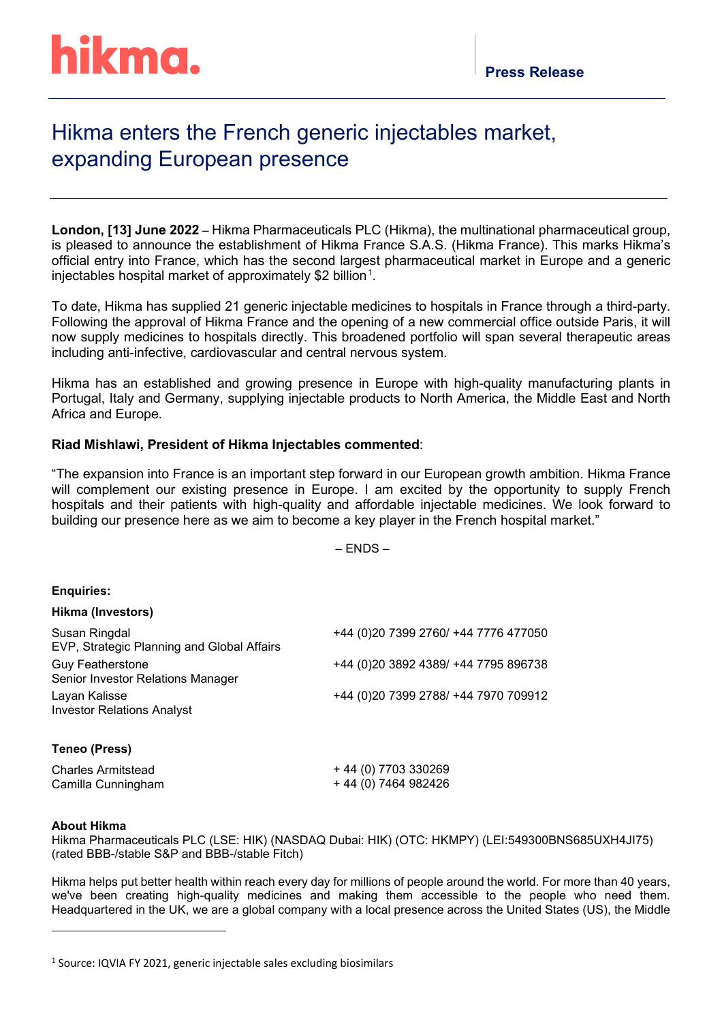# Hikma enters the French generic injectables market, expanding European presence

**London, [13] June 2022** – Hikma Pharmaceuticals PLC (Hikma), the multinational pharmaceutical group, is pleased to announce the establishment of Hikma France S.A.S. (Hikma France). This marks Hikma's official entry into France, which has the second largest pharmaceutical market in Europe and a generic injectables hospital market of approximately \$2 billion $^{\text{1}}$  $^{\text{1}}$  $^{\text{1}}$ .

To date, Hikma has supplied 21 generic injectable medicines to hospitals in France through a third-party. Following the approval of Hikma France and the opening of a new commercial office outside Paris, it will now supply medicines to hospitals directly. This broadened portfolio will span several therapeutic areas including anti-infective, cardiovascular and central nervous system.

Hikma has an established and growing presence in Europe with high-quality manufacturing plants in Portugal, Italy and Germany, supplying injectable products to North America, the Middle East and North Africa and Europe.

## **Riad Mishlawi, President of Hikma Injectables commented**:

"The expansion into France is an important step forward in our European growth ambition. Hikma France will complement our existing presence in Europe. I am excited by the opportunity to supply French hospitals and their patients with high-quality and affordable injectable medicines. We look forward to building our presence here as we aim to become a key player in the French hospital market."

– ENDS –

### **Enquiries:**

### **Hikma (Investors)**

| Susan Ringdal<br>EVP, Strategic Planning and Global Affairs  | +44 (0) 20 7399 2760/ +44 7776 477050 |
|--------------------------------------------------------------|---------------------------------------|
| <b>Guy Featherstone</b><br>Senior Investor Relations Manager | +44 (0)20 3892 4389/ +44 7795 896738  |
| Layan Kalisse<br><b>Investor Relations Analyst</b>           | +44 (0)20 7399 2788/ +44 7970 709912  |
| Teneo (Press)                                                |                                       |
| <b>Charles Armitstead</b>                                    | + 44 (0) 7703 330269                  |
| Camilla Cunningham                                           | + 44 (0) 7464 982426                  |

### **About Hikma**

Hikma Pharmaceuticals PLC (LSE: HIK) (NASDAQ Dubai: HIK) (OTC: HKMPY) (LEI:549300BNS685UXH4JI75) (rated BBB-/stable S&P and BBB-/stable Fitch)

Hikma helps put better health within reach every day for millions of people around the world. For more than 40 years, we've been creating high-quality medicines and making them accessible to the people who need them. Headquartered in the UK, we are a global company with a local presence across the United States (US), the Middle

<span id="page-0-0"></span><sup>&</sup>lt;sup>1</sup> Source: IQVIA FY 2021, generic injectable sales excluding biosimilars